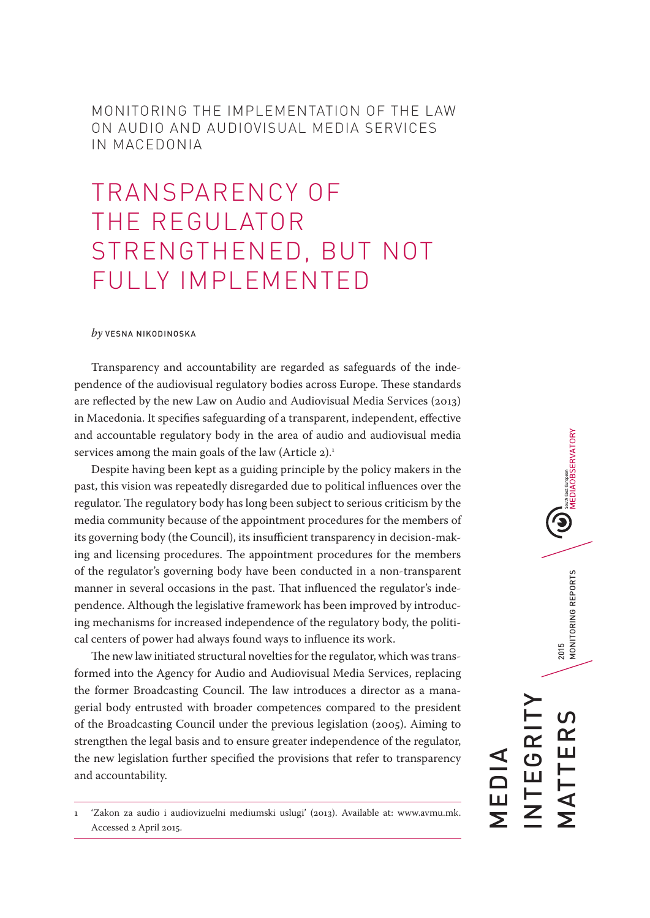MONITORING THE IMPLEMENTATION OF THE LAW ON AUDIO AND AUDIOVISUAL MEDIA SERVICES IN MACEDONIA

# TRANSPARENCY OF THE REGULATOR STRENGTHENED, BUT NOT FULLY IMPLEMENTED

#### *by* VESNA NIKODINOSKA

Transparency and accountability are regarded as safeguards of the independence of the audiovisual regulatory bodies across Europe. These standards are reflected by the new Law on Audio and Audiovisual Media Services (2013) in Macedonia. It specifies safeguarding of a transparent, independent, effective and accountable regulatory body in the area of audio and audiovisual media services among the main goals of the law (Article 2).<sup>1</sup>

Despite having been kept as a guiding principle by the policy makers in the past, this vision was repeatedly disregarded due to political influences over the regulator. The regulatory body has long been subject to serious criticism by the media community because of the appointment procedures for the members of its governing body (the Council), its insufficient transparency in decision-making and licensing procedures. The appointment procedures for the members of the regulator's governing body have been conducted in a non-transparent manner in several occasions in the past. That influenced the regulator's independence. Although the legislative framework has been improved by introducing mechanisms for increased independence of the regulatory body, the political centers of power had always found ways to influence its work.

The new law initiated structural novelties for the regulator, which was transformed into the Agency for Audio and Audiovisual Media Services, replacing the former Broadcasting Council. The law introduces a director as a managerial body entrusted with broader competences compared to the president of the Broadcasting Council under the previous legislation (2005). Aiming to strengthen the legal basis and to ensure greater independence of the regulator, the new legislation further specified the provisions that refer to transparency and accountability.

1 'Zakon za audio i audiovizuelni mediumski uslugi' (2013). Available at: www.avmu.mk. Accessed 2 April 2015.

South East European<br>MEDIAOBSERVATORY 2015<br>MONITORING REPORTS MATTERS 2015 MONITORING REPORTS INTEGRITY <u>ທ</u> **EGRI**  $\alpha$ TTEF MEDIA —<br>Г<br>Г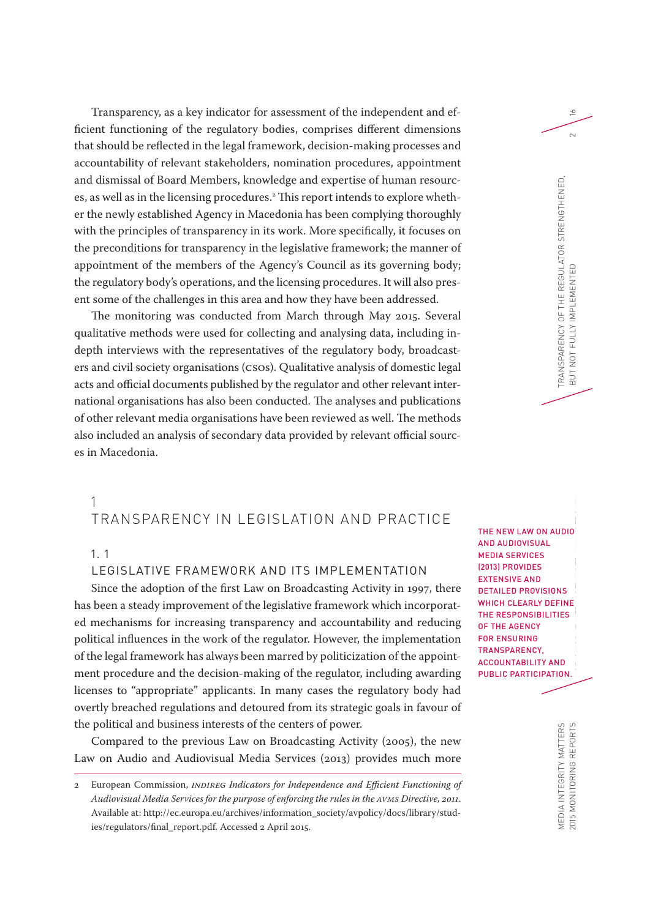Transparency, as a key indicator for assessment of the independent and efficient functioning of the regulatory bodies, comprises different dimensions that should be reflected in the legal framework, decision-making processes and accountability of relevant stakeholders, nomination procedures, appointment and dismissal of Board Members, knowledge and expertise of human resources, as well as in the licensing procedures.2 This report intends to explore whether the newly established Agency in Macedonia has been complying thoroughly with the principles of transparency in its work. More specifically, it focuses on the preconditions for transparency in the legislative framework; the manner of appointment of the members of the Agency's Council as its governing body; the regulatory body's operations, and the licensing procedures. It will also present some of the challenges in this area and how they have been addressed.

The monitoring was conducted from March through May 2015. Several qualitative methods were used for collecting and analysing data, including indepth interviews with the representatives of the regulatory body, broadcasters and civil society organisations (CSOs). Qualitative analysis of domestic legal acts and official documents published by the regulator and other relevant international organisations has also been conducted. The analyses and publications of other relevant media organisations have been reviewed as well. The methods also included an analysis of secondary data provided by relevant official sources in Macedonia.

# 1 TRANSPARENCY IN LEGISLATION AND PRACTICE

# 1. 1

# LEGISLATIVE FRAMEWORK AND ITS IMPLEMENTATION

Since the adoption of the first Law on Broadcasting Activity in 1997, there has been a steady improvement of the legislative framework which incorporated mechanisms for increasing transparency and accountability and reducing political influences in the work of the regulator. However, the implementation of the legal framework has always been marred by politicization of the appointment procedure and the decision-making of the regulator, including awarding licenses to "appropriate" applicants. In many cases the regulatory body had overtly breached regulations and detoured from its strategic goals in favour of the political and business interests of the centers of power.

Compared to the previous Law on Broadcasting Activity (2005), the new Law on Audio and Audiovisual Media Services (2013) provides much more

MONITORING THE IMPLEMENT<br>MONITORING<br>MONITO O<br>AUDIOVISUAL MEDIA SERVICES IN MACEDONIA<br>AUDIOVISUAL MEDIA SERVICES IN MACEDONIA THE NEW LAW ON AUDIO AND AUDIOVISUAL MEDIA SERVICES (2013) PROVIDES EXTENSIVE AND DETAILED PROVISIONS WHICH CLEARLY DEFINE THE RESPONSIBILITIES OF THE AGENCY FOR ENSURING TRANSPARENCY, ACCOUNTABILITY AND PUBLIC PARTICIPATION.

TRANSPARENCY OF THE REGULATOR STRENGTHENED,

TRANSPARENCY OF THE REGULATOR STRENGTHENED,

BUT NOT FULLY IMPLEMENTED 2

NOT FULLY IMPLEMENTED

BUT

 $\geq$ 

 $\sim$ 

<sup>2</sup> European Commission, *INDIREG Indicators for Independence and Efficient Functioning of Audiovisual Media Services for the purpose of enforcing the rules in the AVMS Directive, 2011*. Available at: http://ec.europa.eu/archives/information\_society/avpolicy/docs/library/studies/regulators/final\_report.pdf. Accessed 2 April 2015.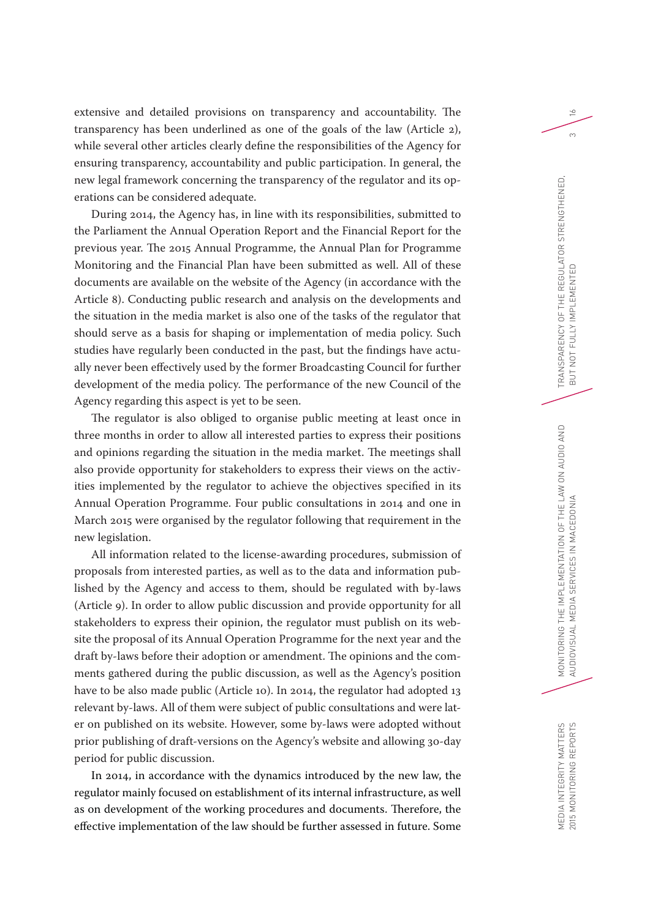extensive and detailed provisions on transparency and accountability. The transparency has been underlined as one of the goals of the law (Article 2), while several other articles clearly define the responsibilities of the Agency for ensuring transparency, accountability and public participation. In general, the new legal framework concerning the transparency of the regulator and its operations can be considered adequate.

During 2014, the Agency has, in line with its responsibilities, submitted to the Parliament the Annual Operation Report and the Financial Report for the previous year. The 2015 Annual Programme, the Annual Plan for Programme Monitoring and the Financial Plan have been submitted as well. All of these documents are available on the website of the Agency (in accordance with the Article 8). Conducting public research and analysis on the developments and the situation in the media market is also one of the tasks of the regulator that should serve as a basis for shaping or implementation of media policy. Such studies have regularly been conducted in the past, but the findings have actually never been effectively used by the former Broadcasting Council for further development of the media policy. The performance of the new Council of the Agency regarding this aspect is yet to be seen.

The regulator is also obliged to organise public meeting at least once in three months in order to allow all interested parties to express their positions and opinions regarding the situation in the media market. The meetings shall also provide opportunity for stakeholders to express their views on the activities implemented by the regulator to achieve the objectives specified in its Annual Operation Programme. Four public consultations in 2014 and one in March 2015 were organised by the regulator following that requirement in the new legislation.

All information related to the license-awarding procedures, submission of proposals from interested parties, as well as to the data and information published by the Agency and access to them, should be regulated with by-laws (Article 9). In order to allow public discussion and provide opportunity for all stakeholders to express their opinion, the regulator must publish on its website the proposal of its Annual Operation Programme for the next year and the draft by-laws before their adoption or amendment. The opinions and the comments gathered during the public discussion, as well as the Agency's position have to be also made public (Article 10). In 2014, the regulator had adopted 13 relevant by-laws. All of them were subject of public consultations and were later on published on its website. However, some by-laws were adopted without prior publishing of draft-versions on the Agency's website and allowing 30-day period for public discussion.

In 2014, in accordance with the dynamics introduced by the new law, the regulator mainly focused on establishment of its internal infrastructure, as well as on development of the working procedures and documents. Therefore, the effective implementation of the law should be further assessed in future. Some

 $\geq$ 

 $\infty$ 

MEDIA INTEGRITY MATTERS 2015 MONITORING REPORTS

MEDIA INTEGRITY MATTERS 2015 MONITORING REPORTS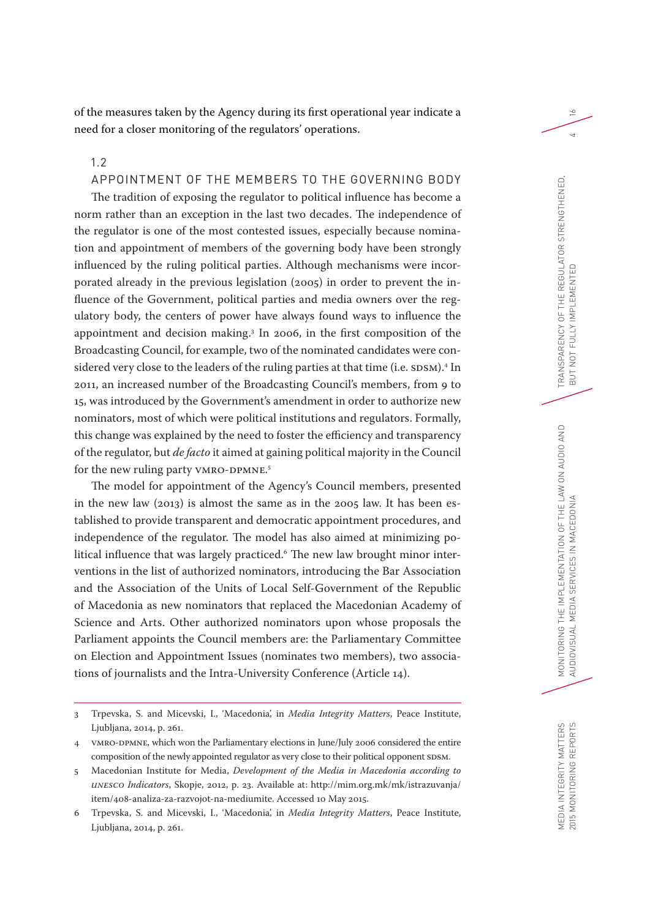of the measures taken by the Agency during its first operational year indicate a need for a closer monitoring of the regulators' operations.

1.2

# APPOINTMENT OF THE MEMBERS TO THE GOVERNING BODY

The tradition of exposing the regulator to political influence has become a norm rather than an exception in the last two decades. The independence of the regulator is one of the most contested issues, especially because nomination and appointment of members of the governing body have been strongly influenced by the ruling political parties. Although mechanisms were incorporated already in the previous legislation (2005) in order to prevent the influence of the Government, political parties and media owners over the regulatory body, the centers of power have always found ways to influence the appointment and decision making.3 In 2006, in the first composition of the Broadcasting Council, for example, two of the nominated candidates were considered very close to the leaders of the ruling parties at that time (i.e. SDSM).4 In 2011, an increased number of the Broadcasting Council's members, from 9 to 15, was introduced by the Government's amendment in order to authorize new nominators, most of which were political institutions and regulators. Formally, this change was explained by the need to foster the efficiency and transparency of the regulator, but *de facto* it aimed at gaining political majority in the Council for the new ruling party VMRO-DPMNE. 5

The model for appointment of the Agency's Council members, presented in the new law (2013) is almost the same as in the 2005 law. It has been established to provide transparent and democratic appointment procedures, and independence of the regulator. The model has also aimed at minimizing political influence that was largely practiced.<sup>6</sup> The new law brought minor interventions in the list of authorized nominators, introducing the Bar Association and the Association of the Units of Local Self-Government of the Republic of Macedonia as new nominators that replaced the Macedonian Academy of Science and Arts. Other authorized nominators upon whose proposals the Parliament appoints the Council members are: the Parliamentary Committee on Election and Appointment Issues (nominates two members), two associations of journalists and the Intra-University Conference (Article 14).

 $\geq$ 

MEDIA INTEGRITY MATTERS<br>2015 MONITORING REPORTS MEDIA INTEGRITY MATTERS 2015 MONITORING REPORTS

<sup>3</sup> Trpevska, S. and Micevski, I., 'Macedonia', in *Media Integrity Matters*, Peace Institute, Ljubljana, 2014, p. 261.

<sup>4</sup> VMRO-DPMNE, which won the Parliamentary elections in June/July 2006 considered the entire composition of the newly appointed regulator as very close to their political opponent SDSM.

<sup>5</sup> Macedonian Institute for Media, *Development of the Media in Macedonia according to UNESCO Indicators*, Skopje, 2012, p. 23. Available at: http://mim.org.mk/mk/istrazuvanja/ item/408-analiza-za-razvojot-na-mediumite. Accessed 10 May 2015.

<sup>6</sup> Trpevska, S. and Micevski, I., 'Macedonia', in *Media Integrity Matters*, Peace Institute, Ljubljana, 2014, p. 261.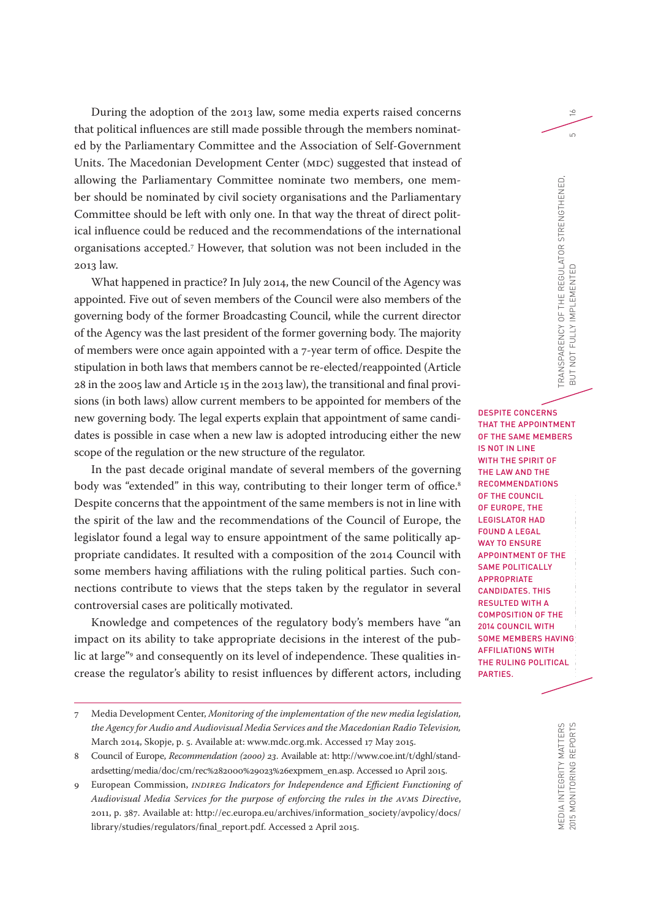During the adoption of the 2013 law, some media experts raised concerns that political influences are still made possible through the members nominated by the Parliamentary Committee and the Association of Self-Government Units. The Macedonian Development Center (MDC) suggested that instead of allowing the Parliamentary Committee nominate two members, one member should be nominated by civil society organisations and the Parliamentary Committee should be left with only one. In that way the threat of direct political influence could be reduced and the recommendations of the international organisations accepted.7 However, that solution was not been included in the 2013 law.

What happened in practice? In July 2014, the new Council of the Agency was appointed. Five out of seven members of the Council were also members of the governing body of the former Broadcasting Council, while the current director of the Agency was the last president of the former governing body. The majority of members were once again appointed with a 7-year term of office. Despite the stipulation in both laws that members cannot be re-elected/reappointed (Article 28 in the 2005 law and Article 15 in the 2013 law), the transitional and final provisions (in both laws) allow current members to be appointed for members of the new governing body. The legal experts explain that appointment of same candidates is possible in case when a new law is adopted introducing either the new scope of the regulation or the new structure of the regulator.

In the past decade original mandate of several members of the governing body was "extended" in this way, contributing to their longer term of office.<sup>8</sup> Despite concerns that the appointment of the same members is not in line with the spirit of the law and the recommendations of the Council of Europe, the legislator found a legal way to ensure appointment of the same politically appropriate candidates. It resulted with a composition of the 2014 Council with some members having affiliations with the ruling political parties. Such connections contribute to views that the steps taken by the regulator in several controversial cases are politically motivated.

Knowledge and competences of the regulatory body's members have "an impact on its ability to take appropriate decisions in the interest of the public at large"9 and consequently on its level of independence. These qualities increase the regulator's ability to resist influences by different actors, including

- 7 Media Development Center, *Monitoring of the implementation of the new media legislation, the Agency for Audio and Audiovisual Media Services and the Macedonian Radio Television,* March 2014, Skopje, p. 5. Available at: www.mdc.org.mk. Accessed 17 May 2015.
- 8 Council of Europe, *Recommendation (2000) 23*. Available at: http://www.coe.int/t/dghl/standardsetting/media/doc/cm/rec%282000%29023%26expmem\_en.asp. Accessed 10 April 2015.
- 9 European Commission, *INDIREG Indicators for Independence and Efficient Functioning of Audiovisual Media Services for the purpose of enforcing the rules in the AVMS Directive*, 2011, p. 387. Available at: http://ec.europa.eu/archives/information\_society/avpolicy/docs/ library/studies/regulators/final\_report.pdf. Accessed 2 April 2015.

MENTATION THE IMPLEMENTATION CONTINUES. AUDIOVISUAL MEDIA SERVICES IN MACEDONIA<br>AUDIO DESPITE CONCERNS THAT THE APPOINTMENT OF THE SAME MEMBERS IS NOT IN LINE WITH THE SPIRIT OF THE LAW AND THE RECOMMENDATIONS OF THE COUNCIL OF EUROPE, THE LEGISLATOR HAD FOUND A LEGAL WAY TO ENSURE APPOINTMENT OF THE SAME POLITICALLY **APPROPRIATE** CANDIDATES. THIS RESULTED WITH A COMPOSITION OF THE 2014 COUNCIL WITH SOME MEMBERS HAVING AFFILIATIONS WITH THE RULING POLITICAL PARTIES.

TRANSPARENCY OF THE REGULATOR STRENGTHENED,

**FRANSPARENCY OF THE REGULATOR STRENGTHENED,** 

BUT NOT FULLY IMPLEMENTED 5

NOT FULLY IMPLEMENTED

 $\overline{B}$ 

 $\geq$ 

 $\overline{5}$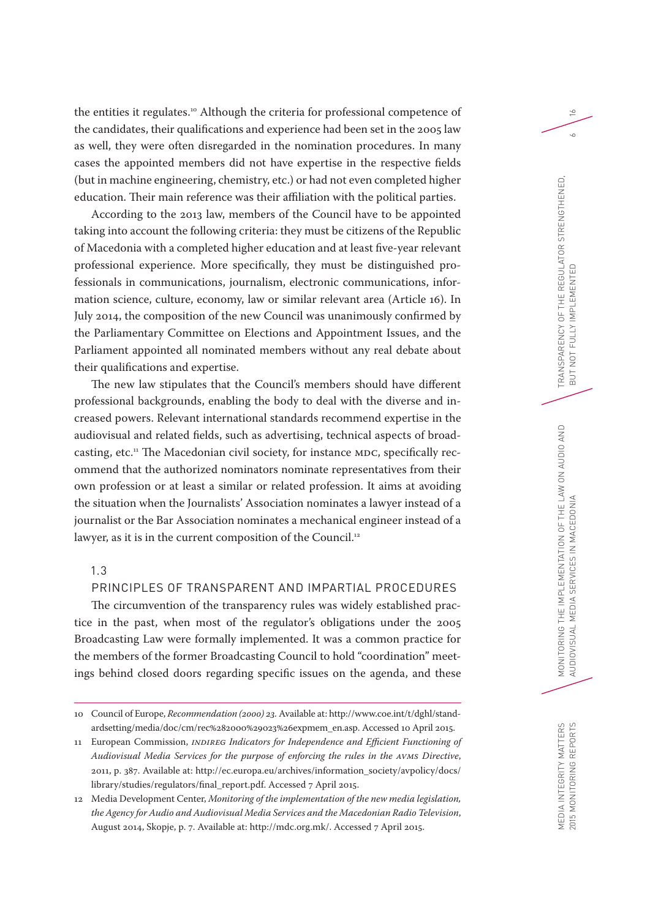the entities it regulates. 10 Although the criteria for professional competence of the candidates, their qualifications and experience had been set in the 2005 law as well, they were often disregarded in the nomination procedures. In many cases the appointed members did not have expertise in the respective fields (but in machine engineering, chemistry, etc.) or had not even completed higher education. Their main reference was their affiliation with the political parties.

According to the 2013 law, members of the Council have to be appointed taking into account the following criteria: they must be citizens of the Republic of Macedonia with a completed higher education and at least five-year relevant professional experience. More specifically, they must be distinguished professionals in communications, journalism, electronic communications, information science, culture, economy, law or similar relevant area (Article 16). In July 2014, the composition of the new Council was unanimously confirmed by the Parliamentary Committee on Elections and Appointment Issues, and the Parliament appointed all nominated members without any real debate about their qualifications and expertise.

The new law stipulates that the Council's members should have different professional backgrounds, enabling the body to deal with the diverse and increased powers. Relevant international standards recommend expertise in the audiovisual and related fields, such as advertising, technical aspects of broadcasting, etc.11 The Macedonian civil society, for instance MDC, specifically recommend that the authorized nominators nominate representatives from their own profession or at least a similar or related profession. It aims at avoiding the situation when the Journalists' Association nominates a lawyer instead of a journalist or the Bar Association nominates a mechanical engineer instead of a lawyer, as it is in the current composition of the Council.<sup>12</sup>

# 1.3

# PRINCIPLES OF TRANSPARENT AND IMPARTIAL PROCEDURES

The circumvention of the transparency rules was widely established practice in the past, when most of the regulator's obligations under the 2005 Broadcasting Law were formally implemented. It was a common practice for the members of the former Broadcasting Council to hold "coordination" meetings behind closed doors regarding specific issues on the agenda, and these  $\overline{6}$ 

 $\sim$ 

<sup>10</sup> Council of Europe, *Recommendation (2000) 23.* Available at: http://www.coe.int/t/dghl/standardsetting/media/doc/cm/rec%282000%29023%26expmem\_en.asp. Accessed 10 April 2015.

<sup>11</sup> European Commission, *INDIREG Indicators for Independence and Efficient Functioning of Audiovisual Media Services for the purpose of enforcing the rules in the AVMS Directive*, 2011, p. 387. Available at: http://ec.europa.eu/archives/information\_society/avpolicy/docs/ library/studies/regulators/final\_report.pdf. Accessed 7 April 2015.

<sup>12</sup> Media Development Center, *Monitoring of the implementation of the new media legislation, the Agency for Audio and Audiovisual Media Services and the Macedonian Radio Television*, August 2014, Skopje, p. 7. Available at: http://mdc.org.mk/. Accessed 7 April 2015.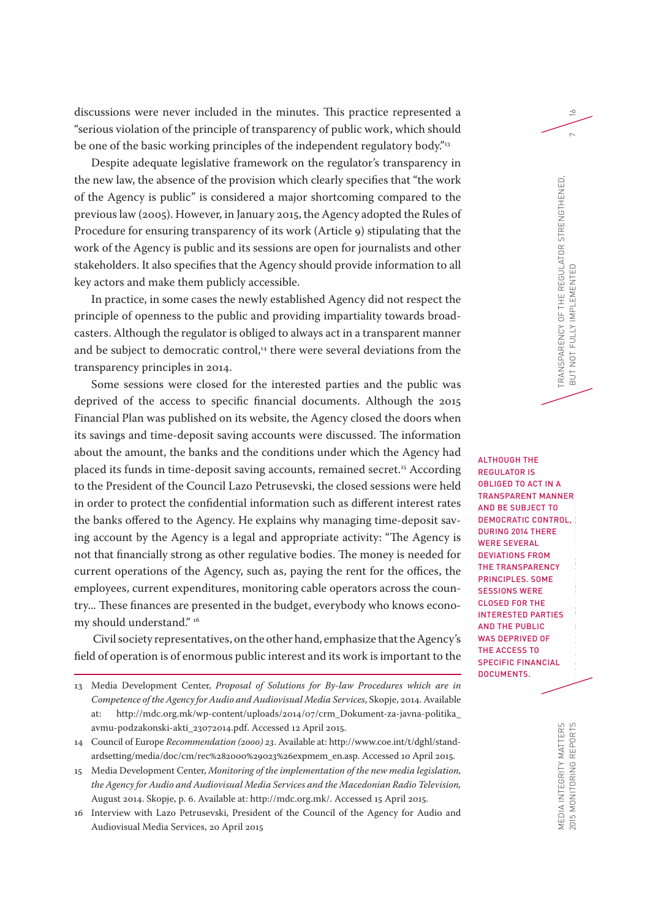discussions were never included in the minutes. This practice represented a "serious violation of the principle of transparency of public work, which should be one of the basic working principles of the independent regulatory body."13

Despite adequate legislative framework on the regulator's transparency in the new law, the absence of the provision which clearly specifies that "the work of the Agency is public" is considered a major shortcoming compared to the previous law (2005). However, in January 2015, the Agency adopted the Rules of Procedure for ensuring transparency of its work (Article 9) stipulating that the work of the Agency is public and its sessions are open for journalists and other stakeholders. It also specifies that the Agency should provide information to all key actors and make them publicly accessible.

In practice, in some cases the newly established Agency did not respect the principle of openness to the public and providing impartiality towards broadcasters. Although the regulator is obliged to always act in a transparent manner and be subject to democratic control,<sup>14</sup> there were several deviations from the transparency principles in 2014.

Some sessions were closed for the interested parties and the public was deprived of the access to specific financial documents. Although the 2015 Financial Plan was published on its website, the Agency closed the doors when its savings and time-deposit saving accounts were discussed. The information about the amount, the banks and the conditions under which the Agency had placed its funds in time-deposit saving accounts, remained secret.<sup>15</sup> According to the President of the Council Lazo Petrusevski, the closed sessions were held in order to protect the confidential information such as different interest rates the banks offered to the Agency. He explains why managing time-deposit saving account by the Agency is a legal and appropriate activity: "The Agency is not that financially strong as other regulative bodies. The money is needed for current operations of the Agency, such as, paying the rent for the offices, the employees, current expenditures, monitoring cable operators across the country... These finances are presented in the budget, everybody who knows economy should understand." 16

 Civil society representatives, on the other hand, emphasize that the Agency's field of operation is of enormous public interest and its work is important to the  $\approx$ 

 $\sim$ 

A<br>|<br>|<br>|- $\mathbf{R} = \mathbf{R}$ ALTHOUGH THE REGULATOR IS OBLIGED TO ACT IN A TRANSPARENT MANNER AND BE SUBJECT TO DEMOCRATIC CONTROL, DURING 2014 THERE WERE SEVERAL DEVIATIONS FROM THE TRANSPARENCY PRINCIPLES. SOME SESSIONS WERE CLOSED FOR THE INTERESTED PARTIES AND THE PUBLIC WAS DEPRIVED OF THE ACCESS TO SPECIFIC FINANCIAL DOCUMENTS.

<sup>13</sup> Media Development Center, *Proposal of Solutions for By-law Procedures which are in Competence of the Agency for Audio and Audiovisual Media Services*, Skopje, 2014. Available at: http://mdc.org.mk/wp-content/uploads/2014/07/crm\_Dokument-za-javna-politika\_ avmu-podzakonski-akti\_23072014.pdf. Accessed 12 April 2015.

<sup>14</sup> Council of Europe *Recommendation (2000) 23*. Available at: http://www.coe.int/t/dghl/standardsetting/media/doc/cm/rec%282000%29023%26expmem\_en.asp. Accessed 10 April 2015.

<sup>15</sup> Media Development Center, *Monitoring of the implementation of the new media legislation, the Agency for Audio and Audiovisual Media Services and the Macedonian Radio Television,*  August 2014. Skopje, p. 6. Available at: http://mdc.org.mk/. Accessed 15 April 2015.

<sup>16</sup> Interview with Lazo Petrusevski, President of the Council of the Agency for Audio and Audiovisual Media Services, 20 April 2015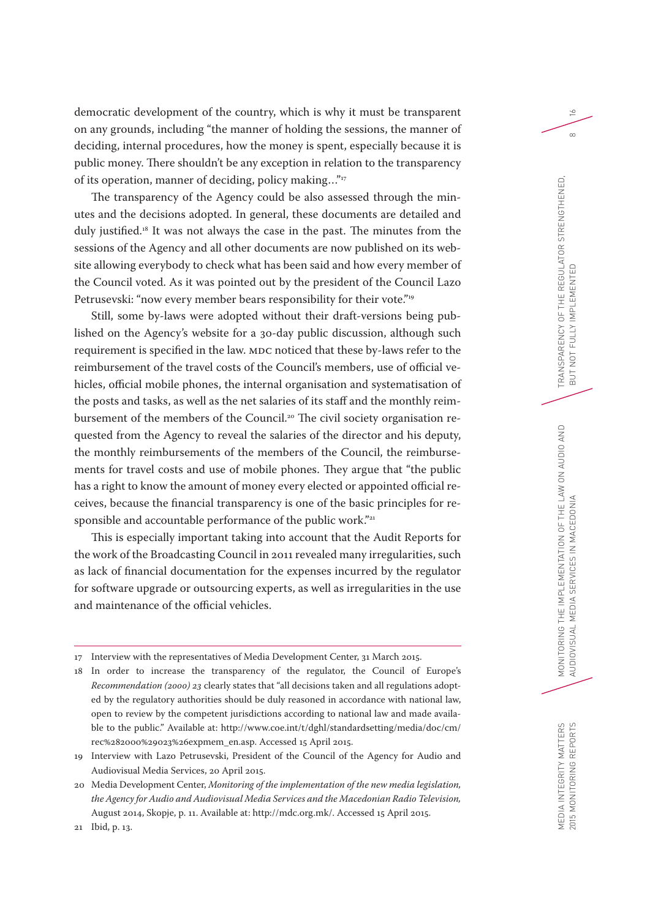democratic development of the country, which is why it must be transparent on any grounds, including "the manner of holding the sessions, the manner of deciding, internal procedures, how the money is spent, especially because it is public money. There shouldn't be any exception in relation to the transparency of its operation, manner of deciding, policy making…"17

The transparency of the Agency could be also assessed through the minutes and the decisions adopted. In general, these documents are detailed and duly justified.18 It was not always the case in the past. The minutes from the sessions of the Agency and all other documents are now published on its website allowing everybody to check what has been said and how every member of the Council voted. As it was pointed out by the president of the Council Lazo Petrusevski: "now every member bears responsibility for their vote."<sup>19</sup>

Still, some by-laws were adopted without their draft-versions being published on the Agency's website for a 30-day public discussion, although such requirement is specified in the law. MDC noticed that these by-laws refer to the reimbursement of the travel costs of the Council's members, use of official vehicles, official mobile phones, the internal organisation and systematisation of the posts and tasks, as well as the net salaries of its staff and the monthly reimbursement of the members of the Council.<sup>20</sup> The civil society organisation requested from the Agency to reveal the salaries of the director and his deputy, the monthly reimbursements of the members of the Council, the reimbursements for travel costs and use of mobile phones. They argue that "the public has a right to know the amount of money every elected or appointed official receives, because the financial transparency is one of the basic principles for responsible and accountable performance of the public work."<sup>21</sup>

This is especially important taking into account that the Audit Reports for the work of the Broadcasting Council in 2011 revealed many irregularities, such as lack of financial documentation for the expenses incurred by the regulator for software upgrade or outsourcing experts, as well as irregularities in the use and maintenance of the official vehicles.

 $\overline{6}$ 

 $\infty$ 

21 Ibid, p. 13.

<sup>17</sup> Interview with the representatives of Media Development Center, 31 March 2015.

<sup>18</sup> In order to increase the transparency of the regulator, the Council of Europe's *Recommendation (2000) 23* clearly states that "all decisions taken and all regulations adopted by the regulatory authorities should be duly reasoned in accordance with national law, open to review by the competent jurisdictions according to national law and made available to the public." Available at: http://www.coe.int/t/dghl/standardsetting/media/doc/cm/ rec%282000%29023%26expmem\_en.asp. Accessed 15 April 2015.

<sup>19</sup> Interview with Lazo Petrusevski, President of the Council of the Agency for Audio and Audiovisual Media Services, 20 April 2015.

<sup>20</sup> Media Development Center, *Monitoring of the implementation of the new media legislation, the Agency for Audio and Audiovisual Media Services and the Macedonian Radio Television,*  August 2014, Skopje, p. 11. Available at: http://mdc.org.mk/. Accessed 15 April 2015.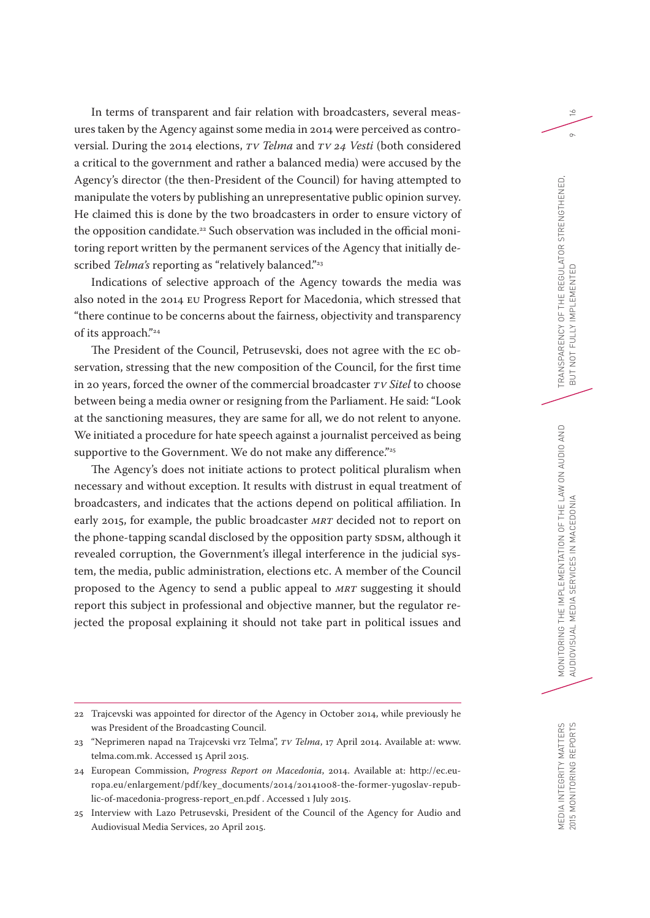In terms of transparent and fair relation with broadcasters, several measures taken by the Agency against some media in 2014 were perceived as controversial. During the 2014 elections, *TV Telma* and *TV 24 Vesti* (both considered a critical to the government and rather a balanced media) were accused by the Agency's director (the then-President of the Council) for having attempted to manipulate the voters by publishing an unrepresentative public opinion survey. He claimed this is done by the two broadcasters in order to ensure victory of the opposition candidate.<sup>22</sup> Such observation was included in the official monitoring report written by the permanent services of the Agency that initially described *Telma's* reporting as "relatively balanced."<sup>23</sup>

Indications of selective approach of the Agency towards the media was also noted in the 2014 EU Progress Report for Macedonia, which stressed that "there continue to be concerns about the fairness, objectivity and transparency of its approach."24

The President of the Council, Petrusevski, does not agree with the EC observation, stressing that the new composition of the Council, for the first time in 20 years, forced the owner of the commercial broadcaster *TV Sitel* to choose between being a media owner or resigning from the Parliament. He said: "Look at the sanctioning measures, they are same for all, we do not relent to anyone. We initiated a procedure for hate speech against a journalist perceived as being supportive to the Government. We do not make any difference."<sup>25</sup>

The Agency's does not initiate actions to protect political pluralism when necessary and without exception. It results with distrust in equal treatment of broadcasters, and indicates that the actions depend on political affiliation. In early 2015, for example, the public broadcaster *MRT* decided not to report on the phone-tapping scandal disclosed by the opposition party SDSM, although it revealed corruption, the Government's illegal interference in the judicial system, the media, public administration, elections etc. A member of the Council proposed to the Agency to send a public appeal to *MRT* suggesting it should report this subject in professional and objective manner, but the regulator rejected the proposal explaining it should not take part in political issues and

 $\geq$ 

 $\circ$ 

<sup>22</sup> Trajcevski was appointed for director of the Agency in October 2014, while previously he was President of the Broadcasting Council.

<sup>23</sup> "Neprimeren napad na Trajcevski vrz Telma", *TV Telma*, 17 April 2014. Available at: www. telma.com.mk. Accessed 15 April 2015.

<sup>24</sup> European Commission, *Progress Report on Macedonia*, 2014. Available at: http://ec.europa.eu/enlargement/pdf/key\_documents/2014/20141008-the-former-yugoslav-republic-of-macedonia-progress-report\_en.pdf . Accessed 1 July 2015.

<sup>25</sup> Interview with Lazo Petrusevski, President of the Council of the Agency for Audio and Audiovisual Media Services, 20 April 2015.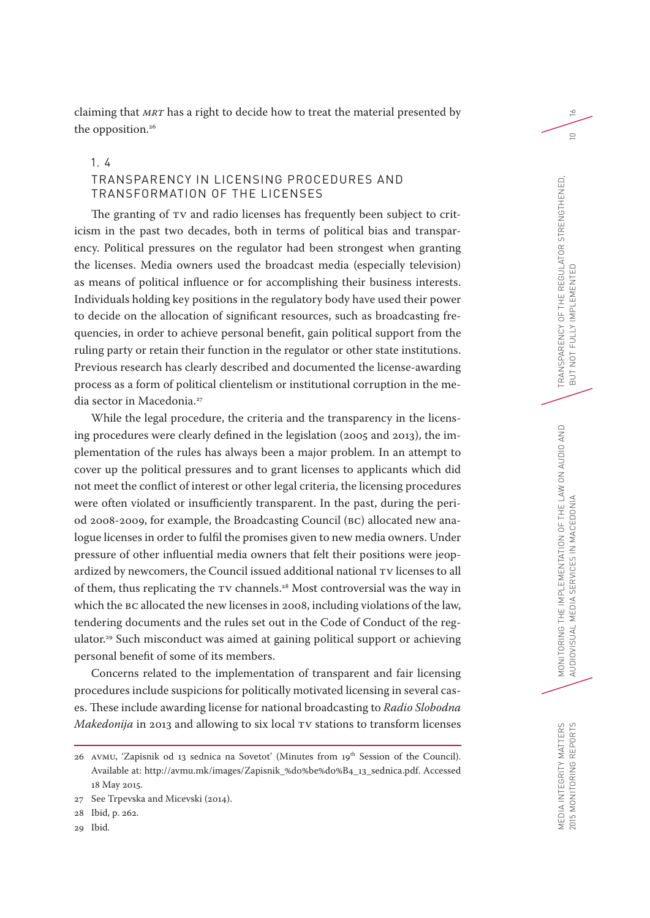$\geq$ 

 $\supseteq$ 

MONITORING THE IMPLEMENTATION OF THE LAW ON AUDIO AND<br>AUDIOVISUAL MEDIA SERVICES IN MACEDONIA MONITORING THE IMPLEMENTATION OF THE LAW ON AUDIO AND AUDIOVISUAL MEDIA SERVICES IN MACEDONIA

claiming that *MRT* has a right to decide how to treat the material presented by the opposition.<sup>26</sup>

# 1. 4

# TRANSPARENCY IN LICENSING PROCEDURES AND TRANSFORMATION OF THE LICENSES

The granting of TV and radio licenses has frequently been subject to criticism in the past two decades, both in terms of political bias and transparency. Political pressures on the regulator had been strongest when granting the licenses. Media owners used the broadcast media (especially television) as means of political influence or for accomplishing their business interests. Individuals holding key positions in the regulatory body have used their power to decide on the allocation of significant resources, such as broadcasting frequencies, in order to achieve personal benefit, gain political support from the ruling party or retain their function in the regulator or other state institutions. Previous research has clearly described and documented the license-awarding process as a form of political clientelism or institutional corruption in the media sector in Macedonia.<sup>27</sup>

While the legal procedure, the criteria and the transparency in the licensing procedures were clearly defined in the legislation (2005 and 2013), the implementation of the rules has always been a major problem. In an attempt to cover up the political pressures and to grant licenses to applicants which did not meet the conflict of interest or other legal criteria, the licensing procedures were often violated or insufficiently transparent. In the past, during the period 2008-2009, for example, the Broadcasting Council (BC) allocated new analogue licenses in order to fulfil the promises given to new media owners. Under pressure of other influential media owners that felt their positions were jeopardized by newcomers, the Council issued additional national TV licenses to all of them, thus replicating the TV channels.28 Most controversial was the way in which the BC allocated the new licenses in 2008, including violations of the law, tendering documents and the rules set out in the Code of Conduct of the regulator.29 Such misconduct was aimed at gaining political support or achieving personal benefit of some of its members.

Concerns related to the implementation of transparent and fair licensing procedures include suspicions for politically motivated licensing in several cases. These include awarding license for national broadcasting to *Radio Slobodna Makedonija* in 2013 and allowing to six local TV stations to transform licenses

<sup>26</sup> AVMU, 'Zapisnik od 13 sednica na Sovetot' (Minutes from 19<sup>th</sup> Session of the Council). Available at: http://avmu.mk/images/Zapisnik\_%d0%be%d0%B4\_13\_sednica.pdf. Accessed 18 May 2015.

<sup>27</sup> See Trpevska and Micevski (2014).

<sup>28</sup> Ibid, p. 262.

<sup>29</sup> Ibid.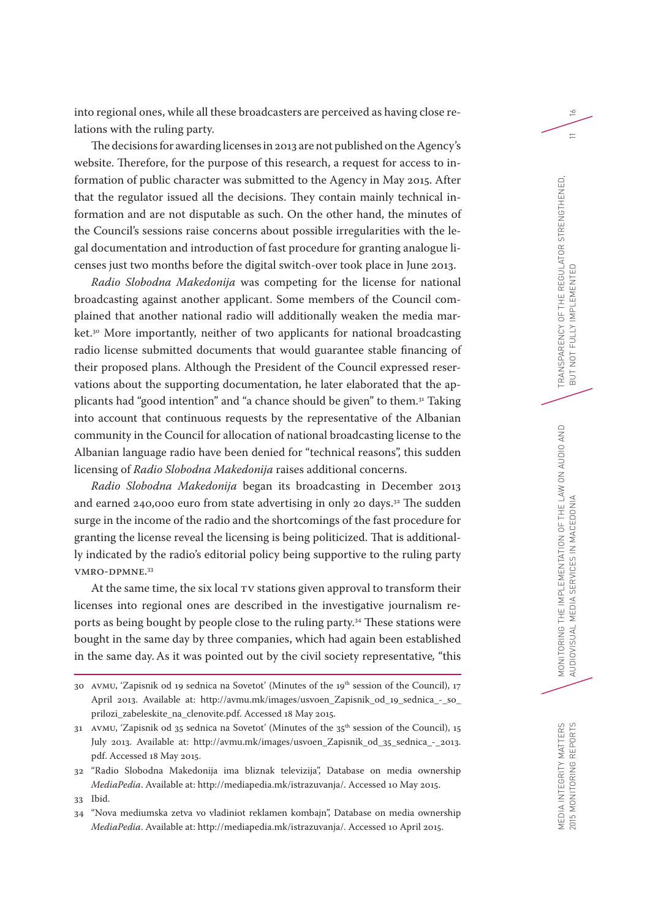into regional ones, while all these broadcasters are perceived as having close relations with the ruling party.

The decisions for awarding licenses in 2013 are not published on the Agency's website. Therefore, for the purpose of this research, a request for access to information of public character was submitted to the Agency in May 2015. After that the regulator issued all the decisions. They contain mainly technical information and are not disputable as such. On the other hand, the minutes of the Council's sessions raise concerns about possible irregularities with the legal documentation and introduction of fast procedure for granting analogue licenses just two months before the digital switch-over took place in June 2013.

*Radio Slobodna Makedonija* was competing for the license for national broadcasting against another applicant. Some members of the Council complained that another national radio will additionally weaken the media market.30 More importantly, neither of two applicants for national broadcasting radio license submitted documents that would guarantee stable financing of their proposed plans. Although the President of the Council expressed reservations about the supporting documentation, he later elaborated that the applicants had "good intention" and "a chance should be given" to them.31 Taking into account that continuous requests by the representative of the Albanian community in the Council for allocation of national broadcasting license to the Albanian language radio have been denied for "technical reasons", this sudden licensing of *Radio Slobodna Makedonija* raises additional concerns.

*Radio Slobodna Makedonija* began its broadcasting in December 2013 and earned 240,000 euro from state advertising in only 20 days.<sup>32</sup> The sudden surge in the income of the radio and the shortcomings of the fast procedure for granting the license reveal the licensing is being politicized. That is additionally indicated by the radio's editorial policy being supportive to the ruling party VMRO-DPMNE. 33

At the same time, the six local TV stations given approval to transform their licenses into regional ones are described in the investigative journalism reports as being bought by people close to the ruling party.34 These stations were bought in the same day by three companies, which had again been established in the same day. As it was pointed out by the civil society representative*,* "this  $\geq$ 

 $\equiv$ 

<sup>30</sup> AVMU, 'Zapisnik od 19 sednica na Sovetot' (Minutes of the 19<sup>th</sup> session of the Council), 17 April 2013. Available at: http://avmu.mk/images/usvoen Zapisnik od 19 sednica - so prilozi\_zabeleskite\_na\_clenovite.pdf. Accessed 18 May 2015.

<sup>31</sup> AVMU, 'Zapisnik od 35 sednica na Sovetot' (Minutes of the  $35<sup>th</sup>$  session of the Council), 15 July 2013. Available at: http://avmu.mk/images/usvoen\_Zapisnik\_od\_35\_sednica\_-\_2013. pdf. Accessed 18 May 2015.

<sup>32</sup> "Radio Slobodna Makedonija ima bliznak televizija", Database on media ownership *MediaPedia*. Available at: http://mediapedia.mk/istrazuvanja/. Accessed 10 May 2015. 33 Ibid.

<sup>34</sup> "Nova mediumska zetva vo vladiniot reklamen kombajn", Database on media ownership *MediaPedia*. Available at: http://mediapedia.mk/istrazuvanja/. Accessed 10 April 2015.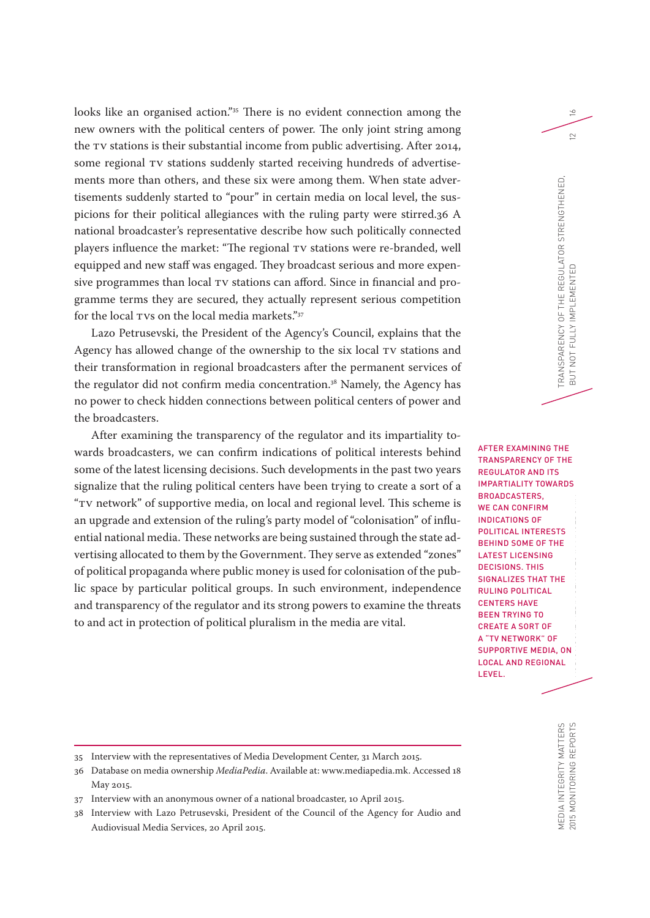looks like an organised action." 35 There is no evident connection among the new owners with the political centers of power. The only joint string among the TV stations is their substantial income from public advertising. After 2014, some regional TV stations suddenly started receiving hundreds of advertisements more than others, and these six were among them. When state advertisements suddenly started to "pour" in certain media on local level, the suspicions for their political allegiances with the ruling party were stirred.36 A national broadcaster's representative describe how such politically connected players influence the market: "The regional TV stations were re-branded, well equipped and new staff was engaged. They broadcast serious and more expensive programmes than local TV stations can afford. Since in financial and programme terms they are secured, they actually represent serious competition for the local TVs on the local media markets."37

Lazo Petrusevski, the President of the Agency's Council, explains that the Agency has allowed change of the ownership to the six local TV stations and their transformation in regional broadcasters after the permanent services of the regulator did not confirm media concentration.38 Namely, the Agency has no power to check hidden connections between political centers of power and the broadcasters.

After examining the transparency of the regulator and its impartiality towards broadcasters, we can confirm indications of political interests behind some of the latest licensing decisions. Such developments in the past two years signalize that the ruling political centers have been trying to create a sort of a "TV network" of supportive media, on local and regional level. This scheme is an upgrade and extension of the ruling's party model of "colonisation" of influential national media. These networks are being sustained through the state advertising allocated to them by the Government. They serve as extended "zones" of political propaganda where public money is used for colonisation of the public space by particular political groups. In such environment, independence and transparency of the regulator and its strong powers to examine the threats to and act in protection of political pluralism in the media are vital.

MONITORING THE IMPLEMENTATION OF THE IMPLEMENTATION OF THE LAW OR THE LAW ON AND AUDIOVISUAL MEDIA SERVICES IN MACEDONIA AFTER EXAMINING THE TRANSPARENCY OF THE REGULATOR AND ITS IMPARTIALITY TOWARDS BROADCASTERS, WE CAN CONFIRM INDICATIONS OF POLITICAL INTERESTS BEHIND SOME OF THE LATEST LICENSING DECISIONS. THIS SIGNALIZES THAT THE RULING POLITICAL CENTERS HAVE BEEN TRYING TO CREATE A SORT OF A "TV NETWORK" OF SUPPORTIVE MEDIA, ON LOCAL AND REGIONAL LEVEL.

TRANSPARENCY OF THE REGULATOR STRENGTHENED,

TRANSPARENCY OF THE REGULATOR STRENGTHENED,

BUT NOT FULLY IMPLEMENTED 12

**NOT FULLY IMPLEMENTED** 

BUT

 $\geq$ 

 $\subseteq$ 



<sup>36</sup> Database on media ownership *MediaPedia*. Available at: www.mediapedia.mk. Accessed 18 May 2015.

<sup>37</sup> Interview with an anonymous owner of a national broadcaster, 10 April 2015.

<sup>38</sup> Interview with Lazo Petrusevski, President of the Council of the Agency for Audio and Audiovisual Media Services, 20 April 2015.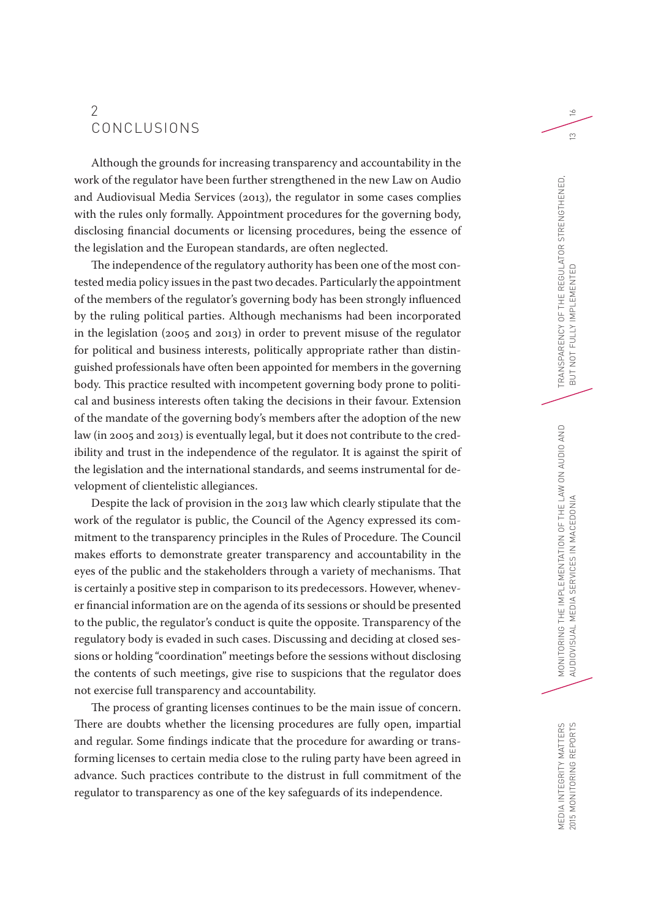# 2 CONCLUSIONS

Although the grounds for increasing transparency and accountability in the work of the regulator have been further strengthened in the new Law on Audio and Audiovisual Media Services (2013), the regulator in some cases complies with the rules only formally. Appointment procedures for the governing body, disclosing financial documents or licensing procedures, being the essence of the legislation and the European standards, are often neglected.

The independence of the regulatory authority has been one of the most contested media policy issues in the past two decades. Particularly the appointment of the members of the regulator's governing body has been strongly influenced by the ruling political parties. Although mechanisms had been incorporated in the legislation (2005 and 2013) in order to prevent misuse of the regulator for political and business interests, politically appropriate rather than distinguished professionals have often been appointed for members in the governing body. This practice resulted with incompetent governing body prone to political and business interests often taking the decisions in their favour. Extension of the mandate of the governing body's members after the adoption of the new law (in 2005 and 2013) is eventually legal, but it does not contribute to the credibility and trust in the independence of the regulator. It is against the spirit of the legislation and the international standards, and seems instrumental for development of clientelistic allegiances.

Despite the lack of provision in the 2013 law which clearly stipulate that the work of the regulator is public, the Council of the Agency expressed its commitment to the transparency principles in the Rules of Procedure. The Council makes efforts to demonstrate greater transparency and accountability in the eyes of the public and the stakeholders through a variety of mechanisms. That is certainly a positive step in comparison to its predecessors. However, whenever financial information are on the agenda of its sessions or should be presented to the public, the regulator's conduct is quite the opposite. Transparency of the regulatory body is evaded in such cases. Discussing and deciding at closed sessions or holding "coordination" meetings before the sessions without disclosing the contents of such meetings, give rise to suspicions that the regulator does not exercise full transparency and accountability.

The process of granting licenses continues to be the main issue of concern. There are doubts whether the licensing procedures are fully open, impartial and regular. Some findings indicate that the procedure for awarding or transforming licenses to certain media close to the ruling party have been agreed in advance. Such practices contribute to the distrust in full commitment of the regulator to transparency as one of the key safeguards of its independence.

 $\geq$ 

 $\overline{C}$ 

MEDIA INTEGRITY MATTERS 2015 MONITORING REPORTS MEDIA INTEGRITY MATTERS 2015 MONITORING REPORTS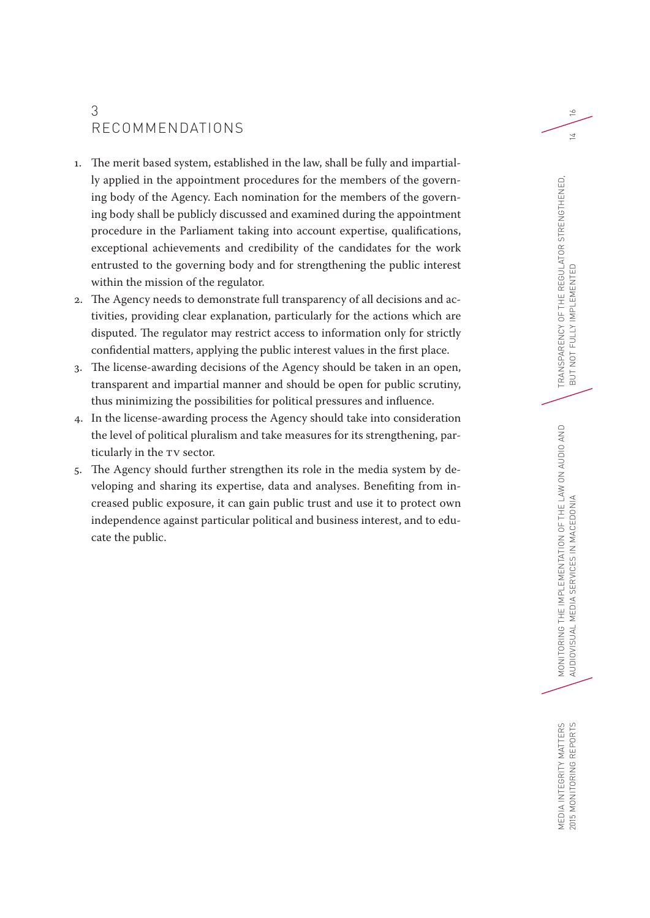# 3 RECOMMENDATIONS

- 1. The merit based system, established in the law, shall be fully and impartially applied in the appointment procedures for the members of the governing body of the Agency. Each nomination for the members of the governing body shall be publicly discussed and examined during the appointment procedure in the Parliament taking into account expertise, qualifications, exceptional achievements and credibility of the candidates for the work entrusted to the governing body and for strengthening the public interest within the mission of the regulator.
- 2. The Agency needs to demonstrate full transparency of all decisions and activities, providing clear explanation, particularly for the actions which are disputed. The regulator may restrict access to information only for strictly confidential matters, applying the public interest values in the first place.
- 3. The license-awarding decisions of the Agency should be taken in an open, transparent and impartial manner and should be open for public scrutiny, thus minimizing the possibilities for political pressures and influence.
- 4. In the license-awarding process the Agency should take into consideration the level of political pluralism and take measures for its strengthening, particularly in the TV sector.
- 5. The Agency should further strengthen its role in the media system by developing and sharing its expertise, data and analyses. Benefiting from increased public exposure, it can gain public trust and use it to protect own independence against particular political and business interest, and to educate the public.

 $\geq$ 

 $\overline{1}$ 

MEDIA INTEGRITY MATTERS 2015 MONITORING REPORTS MEDIA INTEGRITY MATTERS 2015 MONITORING REPORTS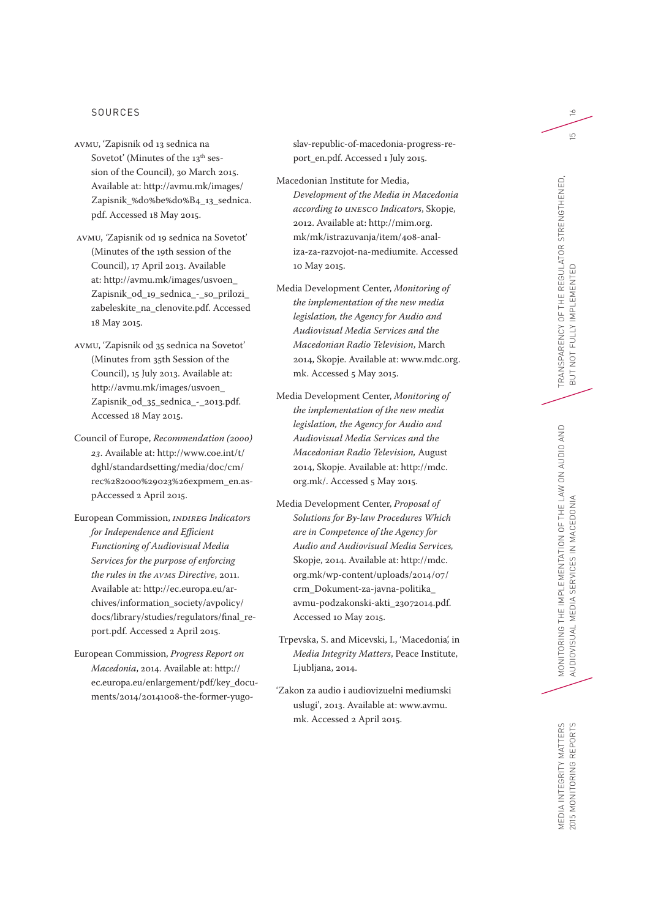#### SOURCES

- AVMU, 'Zapisnik od 13 sednica na Sovetot' (Minutes of the  $13<sup>th</sup>$  session of the Council), 30 March 2015. Available at: http://avmu.mk/images/ Zapisnik %do%be%do%B4\_13\_sednica. pdf. Accessed 18 May 2015.
- AVMU , *'*Zapisnik od 19 sednica na Sovetot' (Minutes of the 19th session of the Council), 17 April 2013. Available at: http://avmu.mk/images/usvoen\_ Zapisnik\_od\_19\_sednica\_-\_so\_prilozi\_ zabeleskite\_na\_clenovite.pdf. Accessed 18 May 2015.
- AVMU, 'Zapisnik od 35 sednica na Sovetot' (Minutes from 35th Session of the Council), 15 July 2013. Available at: http://avmu.mk/images/usvoen\_ Zapisnik od 35 sednica - 2013.pdf. Accessed 18 May 2015.
- Council of Europe, *Recommendation (2000) 23*. Available at: http://www.coe.int/t/ dghl/standardsetting/media/doc/cm/ rec%282000%29023%26expmem\_en.as pAccessed 2 April 2015.
- European Commission, *INDIREG Indicators for Independence and Efficient Functioning of Audiovisual Media Services for the purpose of enforcing the rules in the AVMS Directive*, 2011. Available at: http://ec.europa.eu/ar chives/information\_society/avpolicy/ docs/library/studies/regulators/final\_re port.pdf. Accessed 2 April 2015.
- European Commission, *Progress Report on Macedonia*, 2014. Available at: http:// ec.europa.eu/enlargement/pdf/key\_docu ments/2014/20141008-the-former-yugo -

slav-republic-of-macedonia-progress-re port\_en.pdf. Accessed 1 July 2015.

- Macedonian Institute for Media, *Development of the Media in Macedonia according to UNESCO Indicators*, Skopje, 2012. Available at: http://mim.org. mk/mk/istrazuvanja/item/408-anal iza-za-razvojot-na-mediumite. Accessed 10 May 2015.
- Media Development Center, *Monitoring of the implementation of the new media legislation, the Agency for Audio and Audiovisual Media Services and the Macedonian Radio Television*, March 2014, Skopje. Available at: www.mdc.org. mk. Accessed 5 May 2015.
- Media Development Center, *Monitoring of the implementation of the new media legislation, the Agency for Audio and Audiovisual Media Services and the Macedonian Radio Television,* August 2014, Skopje. Available at: http://mdc. org.mk/. Accessed 5 May 2015.
- Media Development Center, *Proposal of Solutions for By-law Procedures Which are in Competence of the Agency for Audio and Audiovisual Media Services,*  Skopje, 2014. Available at: http://mdc. org.mk/wp-content/uploads/2014/07/ crm\_Dokument-za-javna-politika\_ avmu-podzakonski-akti\_23072014.pdf. Accessed 10 May 2015.
- Trpevska, S. and Micevski, I., 'Macedonia', in *Media Integrity Matters*, Peace Institute, Ljubljana, 2014.
- 'Zakon za audio i audiovizuelni mediumski uslugi', 2013. Available at: www.avmu. mk. Accessed 2 April 2015.

 $\geq$ 

 $\overline{5}$ 

MEDIA INTEGRITY MATTERS<br>2015 MONITORING REPORTS MEDIA INTEGRITY MATTERS 2015 MONITORING REPORTS